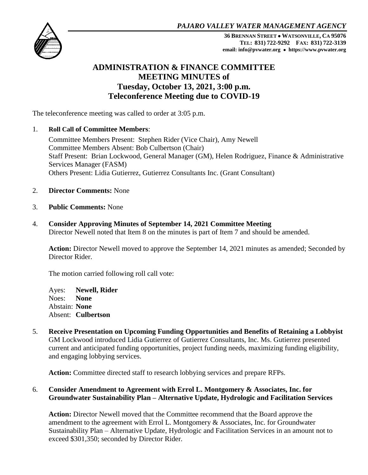*PAJARO VALLEY WATER MANAGEMENT AGENCY*



**36 BRENNAN STREET WATSONVILLE, CA 95076 TEL: 831) 722-9292 FAX: 831) 722-3139 email: info@pvwater.org https://www.pvwater.org**

# **ADMINISTRATION & FINANCE COMMITTEE MEETING MINUTES of Tuesday, October 13, 2021, 3:00 p.m. Teleconference Meeting due to COVID-19**

The teleconference meeting was called to order at 3:05 p.m.

#### 1. **Roll Call of Committee Members**:

Committee Members Present: Stephen Rider (Vice Chair), Amy Newell Committee Members Absent: Bob Culbertson (Chair) Staff Present: Brian Lockwood, General Manager (GM), Helen Rodriguez, Finance & Administrative Services Manager (FASM) Others Present: Lidia Gutierrez, Gutierrez Consultants Inc. (Grant Consultant)

- 2. **Director Comments:** None
- 3. **Public Comments:** None
- 4. **Consider Approving Minutes of September 14, 2021 Committee Meeting**  Director Newell noted that Item 8 on the minutes is part of Item 7 and should be amended.

**Action:** Director Newell moved to approve the September 14, 2021 minutes as amended; Seconded by Director Rider.

The motion carried following roll call vote:

Ayes: **Newell, Rider** Noes: **None** Abstain: **None** Absent: **Culbertson**

5. **Receive Presentation on Upcoming Funding Opportunities and Benefits of Retaining a Lobbyist** GM Lockwood introduced Lidia Gutierrez of Gutierrez Consultants, Inc. Ms. Gutierrez presented current and anticipated funding opportunities, project funding needs, maximizing funding eligibility, and engaging lobbying services.

**Action:** Committee directed staff to research lobbying services and prepare RFPs.

# 6. **Consider Amendment to Agreement with Errol L. Montgomery & Associates, Inc. for Groundwater Sustainability Plan – Alternative Update, Hydrologic and Facilitation Services**

**Action:** Director Newell moved that the Committee recommend that the Board approve the amendment to the agreement with Errol L. Montgomery & Associates, Inc. for Groundwater Sustainability Plan – Alternative Update, Hydrologic and Facilitation Services in an amount not to exceed \$301,350; seconded by Director Rider.